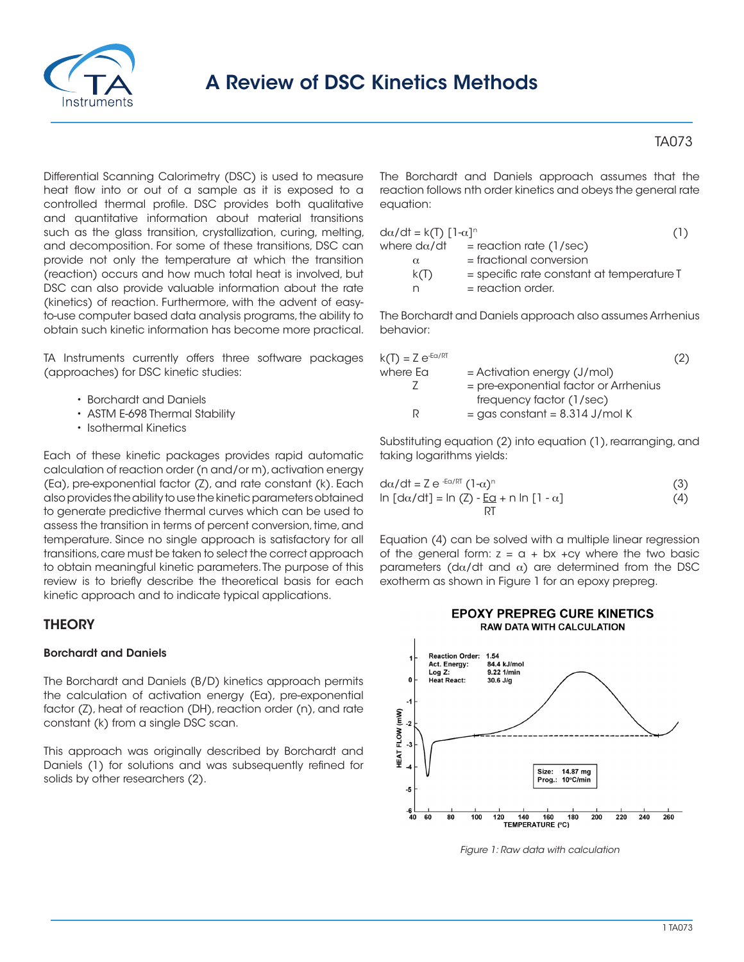

# A Review of DSC Kinetics Methods

Differential Scanning Calorimetry (DSC) is used to measure heat flow into or out of a sample as it is exposed to a controlled thermal profile. DSC provides both qualitative and quantitative information about material transitions such as the glass transition, crystallization, curing, melting, and decomposition. For some of these transitions, DSC can provide not only the temperature at which the transition (reaction) occurs and how much total heat is involved, but DSC can also provide valuable information about the rate (kinetics) of reaction. Furthermore, with the advent of easyto-use computer based data analysis programs, the ability to obtain such kinetic information has become more practical.

TA Instruments currently offers three software packages (approaches) for DSC kinetic studies:

- Borchardt and Daniels
- ASTM E-698 Thermal Stability
- Isothermal Kinetics

Each of these kinetic packages provides rapid automatic calculation of reaction order (n and/or m), activation energy (Ea), pre-exponential factor (Z), and rate constant (k). Each also provides the ability to use the kinetic parameters obtained to generate predictive thermal curves which can be used to assess the transition in terms of percent conversion, time, and temperature. Since no single approach is satisfactory for all transitions, care must be taken to select the correct approach to obtain meaningful kinetic parameters. The purpose of this review is to briefly describe the theoretical basis for each kinetic approach and to indicate typical applications.

# **THEORY**

### Borchardt and Daniels

The Borchardt and Daniels (B/D) kinetics approach permits the calculation of activation energy (Ea), pre-exponential factor (Z), heat of reaction (DH), reaction order (n), and rate constant (k) from a single DSC scan.

This approach was originally described by Borchardt and Daniels (1) for solutions and was subsequently refined for solids by other researchers (2).

TA073

The Borchardt and Daniels approach assumes that the reaction follows nth order kinetics and obeys the general rate equation:

| $d\alpha/dt = k(T) \left[1-\alpha\right]^{n}$ |                                                          | (1) |
|-----------------------------------------------|----------------------------------------------------------|-----|
| where $d\alpha/dt$                            | $=$ reaction rate (1/sec)                                |     |
| $\alpha$                                      | $=$ fractional conversion                                |     |
| k(T)                                          | $=$ specific rate constant at temperature $\overline{I}$ |     |
| n                                             | $=$ reaction order.                                      |     |

The Borchardt and Daniels approach also assumes Arrhenius behavior:

| $k(T) = Z e^{-E\alpha/RT}$ |                                         | (2) |
|----------------------------|-----------------------------------------|-----|
| where Ea                   | $=$ Activation energy (J/mol)           |     |
|                            | $=$ pre-exponential factor or Arrhenius |     |
|                            | frequency factor (1/sec)                |     |
|                            | $=$ gas constant $= 8.314$ J/mol K      |     |

Substituting equation (2) into equation (1), rearranging, and taking logarithms yields:

| $d\alpha/dt = Z e^{-E\alpha/RT} (1-\alpha)^n$                                            | (3) |
|------------------------------------------------------------------------------------------|-----|
| $\ln [\text{d}\alpha/\text{d}t] = \ln (Z) - \underline{E\alpha} + \ln [\ln [1 - \alpha]$ | (4) |
|                                                                                          |     |

Equation (4) can be solved with a multiple linear regression of the general form:  $z = a + bx + cy$  where the two basic parameters (d $\alpha$ /dt and  $\alpha$ ) are determined from the DSC exotherm as shown in Figure 1 for an epoxy prepreg.





*Figure 1: Raw data with calculation*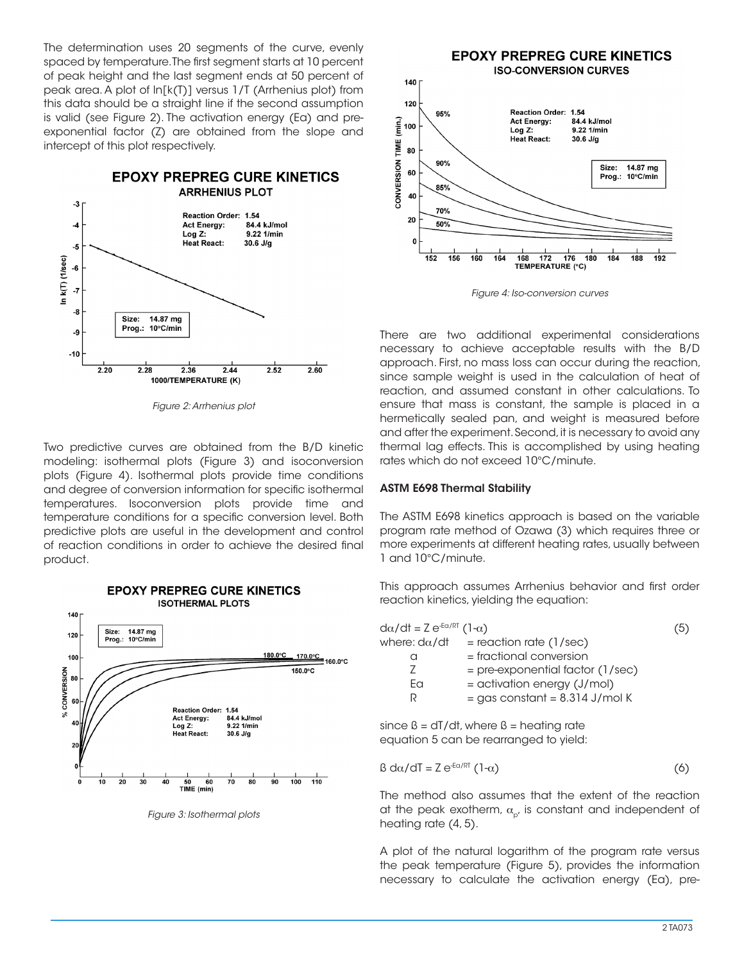The determination uses 20 segments of the curve, evenly spaced by temperature. The first segment starts at 10 percent of peak height and the last segment ends at 50 percent of peak area. A plot of ln[k(T)] versus 1/T (Arrhenius plot) from this data should be a straight line if the second assumption is valid (see Figure 2). The activation energy (Ea) and preexponential factor (Z) are obtained from the slope and intercept of this plot respectively.



*Figure 2: Arrhenius plot*

Two predictive curves are obtained from the B/D kinetic modeling: isothermal plots (Figure 3) and isoconversion plots (Figure 4). Isothermal plots provide time conditions and degree of conversion information for specific isothermal temperatures. Isoconversion plots provide time and temperature conditions for a specific conversion level. Both predictive plots are useful in the development and control of reaction conditions in order to achieve the desired final product.



*Figure 3: Isothermal plots*



*Figure 4: Iso-conversion curves*

There are two additional experimental considerations necessary to achieve acceptable results with the B/D approach. First, no mass loss can occur during the reaction, since sample weight is used in the calculation of heat of reaction, and assumed constant in other calculations. To ensure that mass is constant, the sample is placed in a hermetically sealed pan, and weight is measured before and after the experiment. Second, it is necessary to avoid any thermal lag effects. This is accomplished by using heating rates which do not exceed 10°C/minute.

## ASTM E698 Thermal Stability

The ASTM E698 kinetics approach is based on the variable program rate method of Ozawa (3) which requires three or more experiments at different heating rates, usually between 1 and 10°C/minute.

This approach assumes Arrhenius behavior and first order reaction kinetics, yielding the equation:

since  $\beta = dT/dt$ , where  $\beta =$  heating rate equation 5 can be rearranged to yield:

$$
\beta \, d\alpha/dT = Z \, e^{-E\alpha/RT} \left(1-\alpha\right) \tag{6}
$$

The method also assumes that the extent of the reaction at the peak exotherm,  $\alpha_{p}$ , is constant and independent of heating rate (4, 5).

A plot of the natural logarithm of the program rate versus the peak temperature (Figure 5), provides the information necessary to calculate the activation energy (Ea), pre-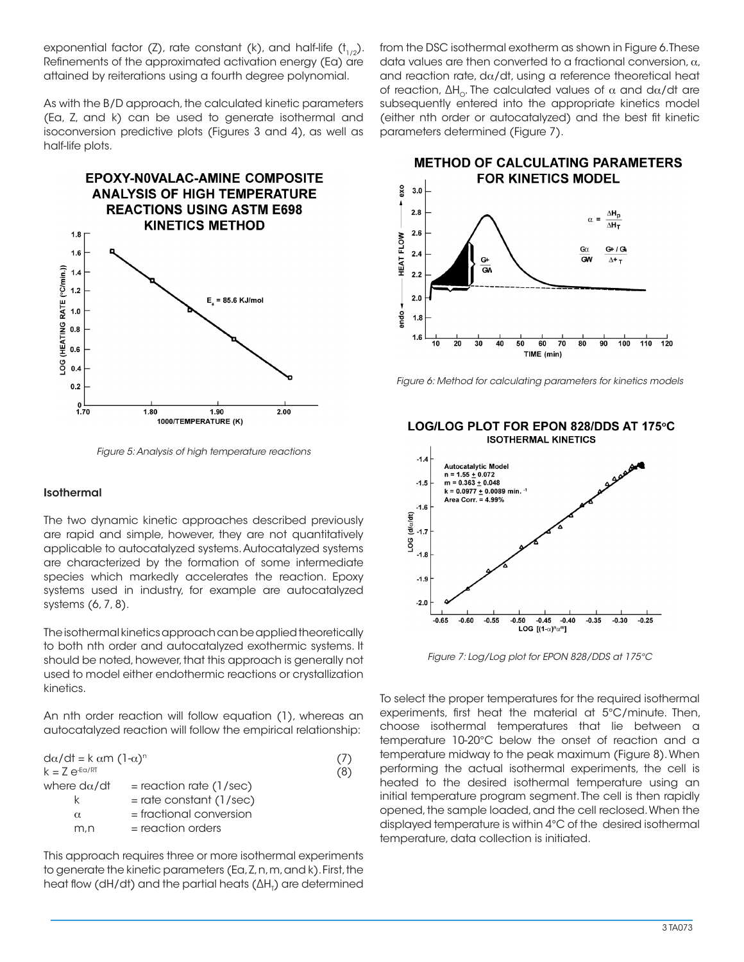exponential factor (Z), rate constant (k), and half-life  $(t_{1/2})$ . Refinements of the approximated activation energy (Ea) are attained by reiterations using a fourth degree polynomial.

As with the B/D approach, the calculated kinetic parameters (Ea, Z, and k) can be used to generate isothermal and isoconversion predictive plots (Figures 3 and 4), as well as half-life plots.



*Figure 5: Analysis of high temperature reactions*

#### Isothermal

The two dynamic kinetic approaches described previously are rapid and simple, however, they are not quantitatively applicable to autocatalyzed systems. Autocatalyzed systems are characterized by the formation of some intermediate species which markedly accelerates the reaction. Epoxy systems used in industry, for example are autocatalyzed systems (6, 7, 8).

The isothermal kinetics approach can be applied theoretically to both nth order and autocatalyzed exothermic systems. It should be noted, however, that this approach is generally not used to model either endothermic reactions or crystallization kinetics.

An nth order reaction will follow equation (1), whereas an autocatalyzed reaction will follow the empirical relationship:

| $d\alpha/dt = k \alpha m (1-\alpha)^n$ |     |
|----------------------------------------|-----|
|                                        | (8) |
| $=$ reaction rate (1/sec)              |     |
| $=$ rate constant (1/sec)              |     |
| $=$ fractional conversion              |     |
| $=$ reaction orders                    |     |
|                                        |     |

This approach requires three or more isothermal experiments to generate the kinetic parameters (Ea, Z, n, m, and k). First, the heat flow (dH/dt) and the partial heats ( $\Delta$ H<sub>T</sub>) are determined from the DSC isothermal exotherm as shown in Figure 6. These data values are then converted to a fractional conversion,  $\alpha$ , and reaction rate,  $d\alpha/dt$ , using a reference theoretical heat of reaction,  $ΔH_0$ . The calculated values of  $α$  and d $α/dt$  are subsequently entered into the appropriate kinetics model (either nth order or autocatalyzed) and the best fit kinetic parameters determined (Figure 7).

**METHOD OF CALCULATING PARAMETERS** 



*Figure 6: Method for calculating parameters for kinetics models*



*Figure 7: Log/Log plot for EPON 828/DDS at 175°C*

To select the proper temperatures for the required isothermal experiments, first heat the material at 5°C/minute. Then, choose isothermal temperatures that lie between a temperature 10-20°C below the onset of reaction and a temperature midway to the peak maximum (Figure 8). When performing the actual isothermal experiments, the cell is heated to the desired isothermal temperature using an initial temperature program segment. The cell is then rapidly opened, the sample loaded, and the cell reclosed. When the displayed temperature is within 4°C of the desired isothermal temperature, data collection is initiated.

#### LOG/LOG PLOT FOR EPON 828/DDS AT 175°C **ISOTHERMAL KINETICS**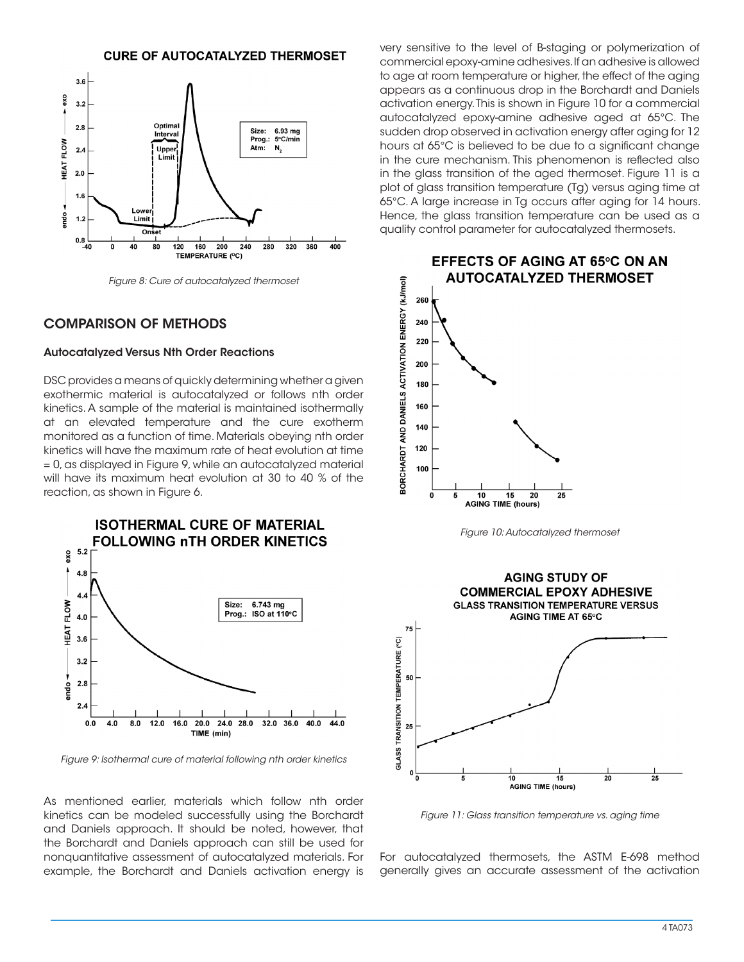## **CURE OF AUTOCATALYZED THERMOSET**



*Figure 8: Cure of autocatalyzed thermoset*

# COMPARISON OF METHODS

#### Autocatalyzed Versus Nth Order Reactions

DSC provides a means of quickly determining whether a given exothermic material is autocatalyzed or follows nth order kinetics. A sample of the material is maintained isothermally at an elevated temperature and the cure exotherm monitored as a function of time. Materials obeying nth order kinetics will have the maximum rate of heat evolution at time = 0, as displayed in Figure 9, while an autocatalyzed material will have its maximum heat evolution at 30 to 40 % of the reaction, as shown in Figure 6.

**ISOTHERMAL CURE OF MATERIAL FOLLOWING nTH ORDER KINETICS**  $5.2$ exo  $4.8$  $4.4$  $6.743$  mg **HEAT FLOW** Size: Prog.: ISO at 110°C  $4.0$  $3.6$  $3.2$  $2.8$ ando  $2.4$  $16.0$  $20.0$  $24.0$ 32.0 36.0 40.0 44.0  $0.0$ 4.0  $8.0$  $12.0$ 28.0 TIME (min)

*Figure 9: Isothermal cure of material following nth order kinetics*

As mentioned earlier, materials which follow nth order kinetics can be modeled successfully using the Borchardt and Daniels approach. It should be noted, however, that the Borchardt and Daniels approach can still be used for nonquantitative assessment of autocatalyzed materials. For example, the Borchardt and Daniels activation energy is very sensitive to the level of B-staging or polymerization of commercial epoxy-amine adhesives. If an adhesive is allowed to age at room temperature or higher, the effect of the aging appears as a continuous drop in the Borchardt and Daniels activation energy. This is shown in Figure 10 for a commercial autocatalyzed epoxy-amine adhesive aged at 65°C. The sudden drop observed in activation energy after aging for 12 hours at 65°C is believed to be due to a significant change in the cure mechanism. This phenomenon is reflected also in the glass transition of the aged thermoset. Figure 11 is a plot of glass transition temperature (Tg) versus aging time at 65°C. A large increase in Tg occurs after aging for 14 hours. Hence, the glass transition temperature can be used as a quality control parameter for autocatalyzed thermosets.



*Figure 10: Autocatalyzed thermoset*



*Figure 11: Glass transition temperature vs. aging time*

For autocatalyzed thermosets, the ASTM E-698 method generally gives an accurate assessment of the activation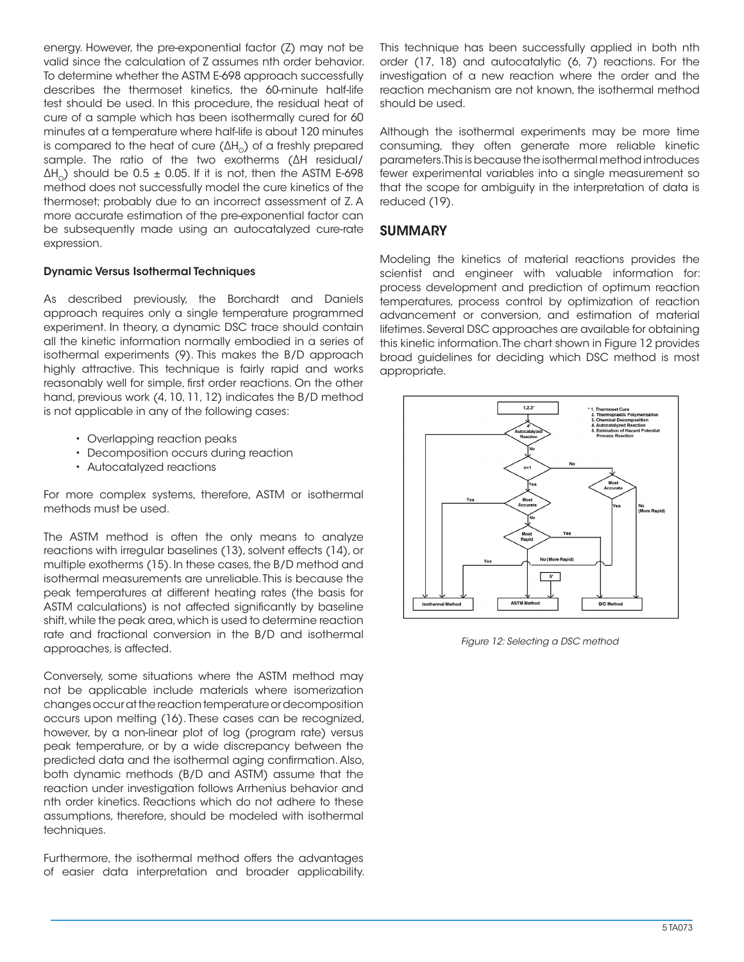energy. However, the pre-exponential factor (Z) may not be valid since the calculation of Z assumes nth order behavior. To determine whether the ASTM E-698 approach successfully describes the thermoset kinetics, the 60-minute half-life test should be used. In this procedure, the residual heat of cure of a sample which has been isothermally cured for 60 minutes at a temperature where half-life is about 120 minutes is compared to the heat of cure  $(\Delta H_{\odot})$  of a freshly prepared sample. The ratio of the two exotherms (ΔH residual/  $\Delta H_0$ ) should be 0.5  $\pm$  0.05. If it is not, then the ASTM E-698 method does not successfully model the cure kinetics of the thermoset; probably due to an incorrect assessment of Z. A more accurate estimation of the pre-exponential factor can be subsequently made using an autocatalyzed cure-rate expression.

## Dynamic Versus Isothermal Techniques

As described previously, the Borchardt and Daniels approach requires only a single temperature programmed experiment. In theory, a dynamic DSC trace should contain all the kinetic information normally embodied in a series of isothermal experiments (9). This makes the B/D approach highly attractive. This technique is fairly rapid and works reasonably well for simple, first order reactions. On the other hand, previous work (4, 10, 11, 12) indicates the B/D method is not applicable in any of the following cases:

- Overlapping reaction peaks
- Decomposition occurs during reaction
- Autocatalyzed reactions

For more complex systems, therefore, ASTM or isothermal methods must be used.

The ASTM method is often the only means to analyze reactions with irregular baselines (13), solvent effects (14), or multiple exotherms (15). In these cases, the B/D method and isothermal measurements are unreliable. This is because the peak temperatures at different heating rates (the basis for ASTM calculations) is not affected significantly by baseline shift, while the peak area, which is used to determine reaction rate and fractional conversion in the B/D and isothermal approaches, is affected.

Conversely, some situations where the ASTM method may not be applicable include materials where isomerization changes occur at the reaction temperature or decomposition occurs upon melting (16). These cases can be recognized, however, by a non-linear plot of log (program rate) versus peak temperature, or by a wide discrepancy between the predicted data and the isothermal aging confirmation. Also, both dynamic methods (B/D and ASTM) assume that the reaction under investigation follows Arrhenius behavior and nth order kinetics. Reactions which do not adhere to these assumptions, therefore, should be modeled with isothermal techniques.

Furthermore, the isothermal method offers the advantages of easier data interpretation and broader applicability. This technique has been successfully applied in both nth order (17, 18) and autocatalytic (6, 7) reactions. For the investigation of a new reaction where the order and the reaction mechanism are not known, the isothermal method should be used.

Although the isothermal experiments may be more time consuming, they often generate more reliable kinetic parameters. This is because the isothermal method introduces fewer experimental variables into a single measurement so that the scope for ambiguity in the interpretation of data is reduced (19).

## **SUMMARY**

Modeling the kinetics of material reactions provides the scientist and engineer with valuable information for: process development and prediction of optimum reaction temperatures, process control by optimization of reaction advancement or conversion, and estimation of material lifetimes. Several DSC approaches are available for obtaining this kinetic information. The chart shown in Figure 12 provides broad guidelines for deciding which DSC method is most appropriate.



*Figure 12: Selecting a DSC method*